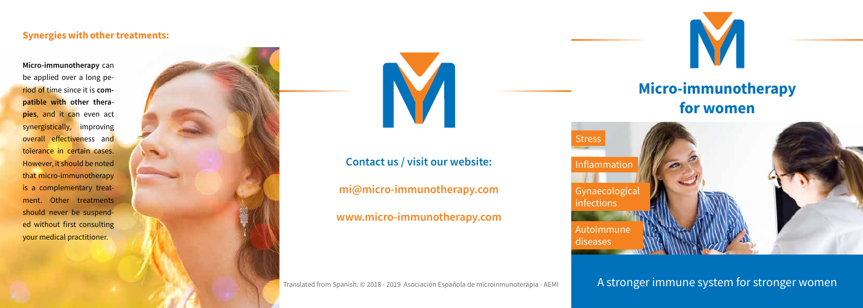A stronger immune system for stronger women



## **Micro-immunotherapy for women**



Gynaecological infections Autoimmune Stress Inflammation

diseases

**Micro-immunotherapy** can be applied over a long period of time since it is **compatible with other therapies**, and it can even act synergistically, improving overall effectiveness and tolerance in certain cases. However, it should be noted that micro-immunotherapy is a complementary treatment. Other treatments should never be suspended without first consulting your medical practitioner.





#### **Synergies with other treatments:**

Translated from Spanish. © 2018 - 2019 Asociación Española de microinmunoterapia - AEMI

### **Contact us / visit our website:**

**mi@micro-immunotherapy.com**

### **www.micro-immunotherapy.com**